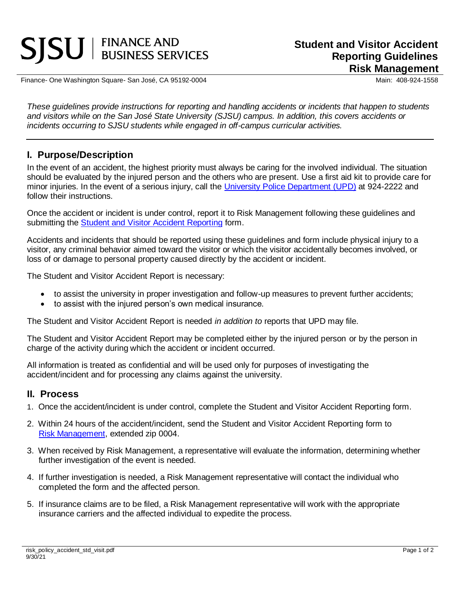# **SISU** | FINANCE AND

Finance- One Washington Square- San José, CA 95192-0004 Main: 408-924-1558

*These guidelines provide instructions for reporting and handling accidents or incidents that happen to students and visitors while on the San José State University (SJSU) campus. In addition, this covers accidents or incidents occurring to SJSU students while engaged in off-campus curricular activities.*

## **I. Purpose/Description**

In the event of an accident, the highest priority must always be caring for the involved individual. The situation should be evaluated by the injured person and the others who are present. Use a first aid kit to provide care for minor injuries. In the event of a serious injury, call the [University Police Department \(UPD\)](http://www.sjsu.edu/police/) at 924-2222 and follow their instructions.

Once the accident or incident is under control, report it to Risk Management following these guidelines and submitting the [Student and Visitor Accident Reporting](https://www.sjsu.edu/fabs/docs/risk_forms_accident_stud_vist.pdf) form.

Accidents and incidents that should be reported using these guidelines and form include physical injury to a visitor, any criminal behavior aimed toward the visitor or which the visitor accidentally becomes involved, or loss of or damage to personal property caused directly by the accident or incident.

The Student and Visitor Accident Report is necessary:

- to assist the university in proper investigation and follow-up measures to prevent further accidents;
- to assist with the injured person's own medical insurance.

The Student and Visitor Accident Report is needed *in addition to* reports that UPD may file.

The Student and Visitor Accident Report may be completed either by the injured person or by the person in charge of the activity during which the accident or incident occurred.

All information is treated as confidential and will be used only for purposes of investigating the accident/incident and for processing any claims against the university.

#### **II. Process**

- 1. Once the accident/incident is under control, complete the Student and Visitor Accident Reporting form.
- 2. Within 24 hours of the accident/incident, send the Student and Visitor Accident Reporting form to [Risk Management,](https://www.sjsu.edu/fabs/services/risk/index.php) extended zip 0004.
- 3. When received by Risk Management, a representative will evaluate the information, determining whether further investigation of the event is needed.
- 4. If further investigation is needed, a Risk Management representative will contact the individual who completed the form and the affected person.
- 5. If insurance claims are to be filed, a Risk Management representative will work with the appropriate insurance carriers and the affected individual to expedite the process.